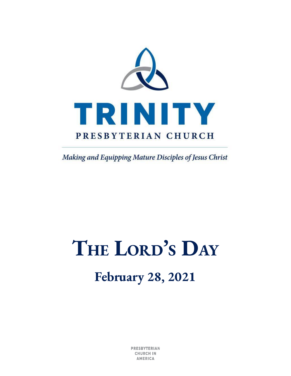

Making and Equipping Mature Disciples of Jesus Christ

# **THE LORD'<sup>S</sup> DAY**

## **February 28, 2021**

**PRESBYTERIAN CHURCH IN AMERICA**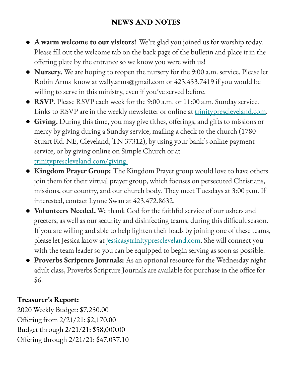#### **NEWS AND NOTES**

- **A warm welcome to our visitors!** We're glad you joined us for worship today. Please fill out the welcome tab on the back page of the bulletin and place it in the offering plate by the entrance so we know you were with us!
- **Nursery.** We are hoping to reopen the nursery for the 9:00 a.m. service. Please let Robin Arms know at wally.arms@gmail.com or 423.453.7419 if you would be willing to serve in this ministry, even if you've served before.
- **RSVP**. Please RSVP each week for the 9:00 a.m. or 11:00 a.m. Sunday service. Links to RSVP are in the weekly newsletter or online at [trinityprescleveland.com.](https://trinityprescleveland.us13.list-manage.com/track/click?u=0f2b37e5be7fa2f1af6d01eff&id=6dbe524ea4&e=64d033b594)
- **Giving.** During this time, you may give tithes, offerings, and gifts to missions or mercy by giving during a Sunday service, mailing a check to the church (1780 Stuart Rd. NE, Cleveland, TN 37312), by using your bank's online payment service, or by giving online on Simple Church or at [trinityprescleveland.com](https://trinityprescleveland.us13.list-manage.com/track/click?u=0f2b37e5be7fa2f1af6d01eff&id=b8efdfc127&e=64d033b594)[/giving.](https://trinityprescleveland.us13.list-manage.com/track/click?u=0f2b37e5be7fa2f1af6d01eff&id=893f8091e1&e=64d033b594)
- **Kingdom Prayer Group:** The Kingdom Prayer group would love to have others join them for their virtual prayer group, which focuses on persecuted Christians, missions, our country, and our church body. They meet Tuesdays at 3:00 p.m. If interested, contact Lynne Swan at 423.472.8632.
- **Volunteers Needed.** We thank God for the faithful service of our ushers and greeters, as well as our security and disinfecting teams, during this difficult season. If you are willing and able to help lighten their loads by joining one of these teams, please let Jessica know at jessica@trinityprescleveland.com. She will connect you with the team leader so you can be equipped to begin serving as soon as possible.
- **Proverbs Scripture Journals:** As an optional resource for the Wednesday night adult class, Proverbs Scripture Journals are available for purchase in the office for \$6.

#### **Treasurer's Report:**

2020 Weekly Budget: \$7,250.00 Offering from 2/21/21: \$2,170.00 Budget through 2/21/21: \$58,000.00 Offering through 2/21/21: \$47,037.10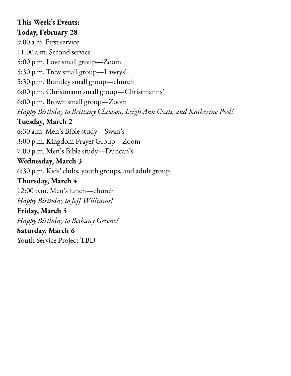#### **This Week's Events: Today, February 28**

9:00 a.m. First service 11:00 a.m. Second service 5:00 p.m. Love small group—Zoom 5:30 p.m. Trew small group—Lawrys' 5:30 p.m. Brantley small group—church 6:00 p.m. Christmann small group—Christmanns' 6:00 p.m. Brown small group—Zoom *Happy Birthday to Brittany Clawson, Leigh Ann Coats, and Katherine Pool!* **Tuesday, March 2** 6:30 a.m. Men's Bible study—Swan's 3:00 p.m. Kingdom Prayer Group—Zoom 7:00 p.m. Men's Bible study—Duncan's **Wednesday, March 3** 6:30 p.m. Kids' clubs, youth groups, and adult group **Thursday, March 4** 12:00 p.m. Men's lunch—church *Happy Birthday to Jeff Williams!* **Friday, March 5** *Happy Birthday to Bethany Greene!* **Saturday, March 6** Youth Service Project TBD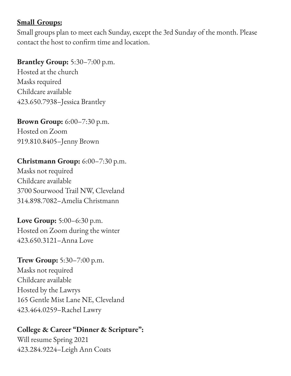#### **Small Groups:**

Small groups plan to meet each Sunday, except the 3rd Sunday of the month. Please contact the host to confirm time and location.

#### **Brantley Group:** 5:30–7:00 p.m.

Hosted at the church Masks required Childcare available 423.650.7938–Jessica Brantley

**Brown Group:** 6:00–7:30 p.m.

Hosted on Zoom 919.810.8405–Jenny Brown

#### **Christmann Group:** 6:00–7:30 p.m.

Masks not required Childcare available 3700 Sourwood Trail NW, Cleveland 314.898.7082–Amelia Christmann

**Love Group:** 5:00–6:30 p.m. Hosted on Zoom during the winter 423.650.3121–Anna Love

**Trew Group:** 5:30–7:00 p.m. Masks not required Childcare available Hosted by the Lawrys 165 Gentle Mist Lane NE, Cleveland 423.464.0259–Rachel Lawry

#### **College & Career "Dinner & Scripture":**

Will resume Spring 2021 423.284.9224–Leigh Ann Coats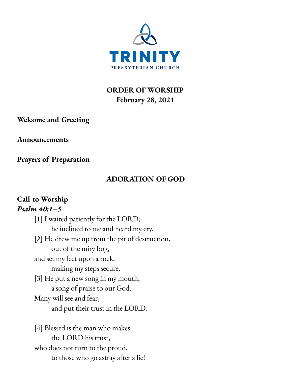

**ORDER OF WORSHIP February 28, 2021**

**Welcome and Greeting**

**Announcements**

**Prayers of Preparation**

#### **ADORATION OF GOD**

#### **Call to Worship** *Psalm 40:1–5*

[1] I waited patiently for the LORD; he inclined to me and heard my cry. [2] He drew me up from the pit of destruction, out of the miry bog, and set my feet upon a rock, making my steps secure. [3] He put a new song in my mouth, a song of praise to our God. Many will see and fear, and put their trust in the LORD.

[4] Blessed is the man who makes the LORD his trust, who does not turn to the proud, to those who go astray after a lie!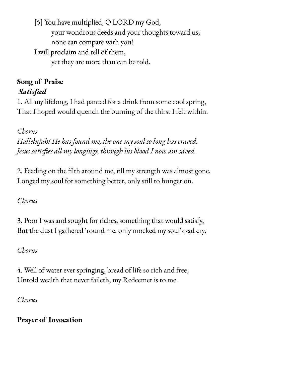[5] You have multiplied, O LORD my God, your wondrous deeds and your thoughts toward us; none can compare with you! I will proclaim and tell of them, yet they are more than can be told.

#### **Song of Praise** *Satisfied*

1. All my lifelong, I had panted for a drink from some cool spring, That I hoped would quench the burning of the thirst I felt within.

*Chorus*

*Hallelujah! He has found me, the one my soul so long has craved. Jesus satisfies all my longings, through his blood I now am saved.*

2. Feeding on the filth around me, till my strength was almost gone, Longed my soul for something better, only still to hunger on.

*Chorus*

3. Poor I was and sought for riches, something that would satisfy, But the dust I gathered 'round me, only mocked my soul's sad cry.

*Chorus*

4. Well of water ever springing, bread of life so rich and free, Untold wealth that never faileth, my Redeemer is to me.

*Chorus*

**Prayer of Invocation**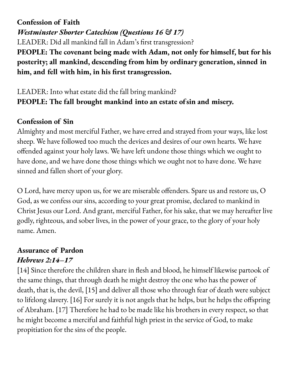**Confession of Faith** *Westminster Shorter Catechism (Questions 16 & 17)* LEADER: Did all mankind fall in Adam's first transgression? **PEOPLE: The covenant being made with Adam, not only for himself, but for his posterity; all mankind, descending from him by ordinary generation, sinned in him, and fell with him, in his first transgression.**

#### LEADER: Into what estate did the fall bring mankind? **PEOPLE: The fall brought mankind into an estate ofsin and miser***y.*

#### **Confession of Sin**

Almighty and most merciful Father, we have erred and strayed from your ways, like lost sheep. We have followed too much the devices and desires of our own hearts. We have offended against your holy laws. We have left undone those things which we ought to have done, and we have done those things which we ought not to have done. We have sinned and fallen short of your glory.

O Lord, have mercy upon us, for we are miserable offenders. Spare us and restore us, O God, as we confess our sins, according to your great promise, declared to mankind in Christ Jesus our Lord. And grant, merciful Father, for his sake, that we may hereafter live godly, righteous, and sober lives, in the power of your grace, to the glory of your holy name. Amen.

#### **Assurance of Pardon** *Hebrews 2:14–17*

[14] Since therefore the children share in flesh and blood, he himself likewise partook of the same things, that through death he might destroy the one who has the power of death, that is, the devil, [15] and deliver all those who through fear of death were subject to lifelong slavery. [16] For surely it is not angels that he helps, but he helps the offspring of Abraham. [17] Therefore he had to be made like his brothers in every respect, so that he might become a merciful and faithful high priest in the service of God, to make propitiation for the sins of the people.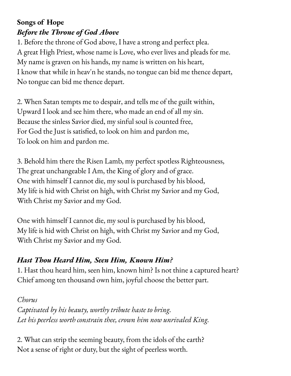### **Songs of Hope** *Before the Throne of God Above*

1. Before the throne of God above, I have a strong and perfect plea. A great High Priest, whose name is Love, who ever lives and pleads for me. My name is graven on his hands, my name is written on his heart, I know that while in heav'n he stands, no tongue can bid me thence depart, No tongue can bid me thence depart.

2. When Satan tempts me to despair, and tells me of the guilt within, Upward I look and see him there, who made an end of all my sin. Because the sinless Savior died, my sinful soul is counted free, For God the Just is satisfied, to look on him and pardon me, To look on him and pardon me.

3. Behold him there the Risen Lamb, my perfect spotless Righteousness, The great unchangeable I Am, the King of glory and of grace. One with himself I cannot die, my soul is purchased by his blood, My life is hid with Christ on high, with Christ my Savior and my God, With Christ my Savior and my God.

One with himself I cannot die, my soul is purchased by his blood, My life is hid with Christ on high, with Christ my Savior and my God, With Christ my Savior and my God.

### *Hast Thou Heard Him, Seen Him, Known Him?*

1. Hast thou heard him, seen him, known him? Is not thine a captured heart? Chief among ten thousand own him, joyful choose the better part.

#### *Chorus*

*Captivated by his beauty, worthy tribute haste to bring. Let his peerless worth constrain thee, crown him now unrivaled King.*

2. What can strip the seeming beauty, from the idols of the earth? Not a sense of right or duty, but the sight of peerless worth.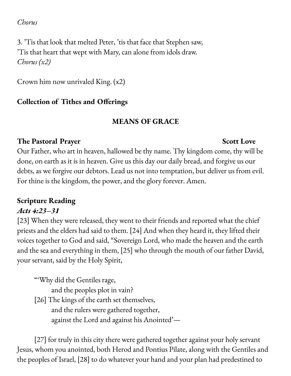#### *Chorus*

3. 'Tis that look that melted Peter, 'tis that face that Stephen saw, 'Tis that heart that wept with Mary, can alone from idols draw. *Chorus (x2)*

Crown him now unrivaled King. (x2)

#### **Collection of Tithes and Offerings**

#### **MEANS OF GRACE**

#### **The Pastoral Prayer Scott Love**

Our Father, who art in heaven, hallowed be thy name. Thy kingdom come, thy will be done, on earth as it is in heaven. Give us this day our daily bread, and forgive us our debts, as we forgive our debtors. Lead us not into temptation, but deliver us from evil. For thine is the kingdom, the power, and the glory forever. Amen.

### **Scripture Reading**

#### *Acts 4:23–31*

[23] When they were released, they went to their friends and reported what the chief priests and the elders had said to them. [24] And when they heard it, they lifted their voices together to God and said, "Sovereign Lord, who made the heaven and the earth and the sea and everything in them, [25] who through the mouth of our father David, your servant, said by the Holy Spirit,

"'Why did the Gentiles rage, and the peoples plot in vain? [26] The kings of the earth set themselves, and the rulers were gathered together, against the Lord and against his Anointed'—

[27] for truly in this city there were gathered together against your holy servant Jesus, whom you anointed, both Herod and Pontius Pilate, along with the Gentiles and the peoples of Israel, [28] to do whatever your hand and your plan had predestined to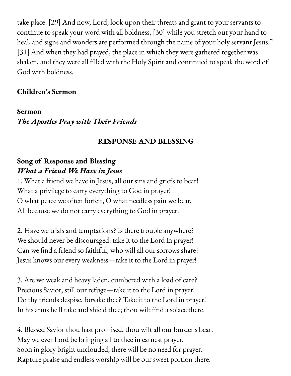take place. [29] And now, Lord, look upon their threats and grant to your servants to continue to speak your word with all boldness, [30] while you stretch out your hand to heal, and signs and wonders are performed through the name of your holy servant Jesus." [31] And when they had prayed, the place in which they were gathered together was shaken, and they were all filled with the Holy Spirit and continued to speak the word of God with boldness.

#### **Children's Sermon**

**Sermon** *The Apostles Pray with Their Friends*

#### **RESPONSE AND BLESSING**

#### **Song of Response and Blessing** *What a Friend We Have in Jesus*

1. What a friend we have in Jesus, all our sins and griefs to bear! What a privilege to carry everything to God in prayer! O what peace we often forfeit, O what needless pain we bear, All because we do not carry everything to God in prayer.

2. Have we trials and temptations? Is there trouble anywhere? We should never be discouraged: take it to the Lord in prayer! Can we find a friend so faithful, who will all our sorrows share? Jesus knows our every weakness—take it to the Lord in prayer!

3. Are we weak and heavy laden, cumbered with a load of care? Precious Savior, still our refuge—take it to the Lord in prayer! Do thy friends despise, forsake thee? Take it to the Lord in prayer! In his arms he'll take and shield thee; thou wilt find a solace there.

4. Blessed Savior thou hast promised, thou wilt all our burdens bear. May we ever Lord be bringing all to thee in earnest prayer. Soon in glory bright unclouded, there will be no need for prayer. Rapture praise and endless worship will be our sweet portion there.